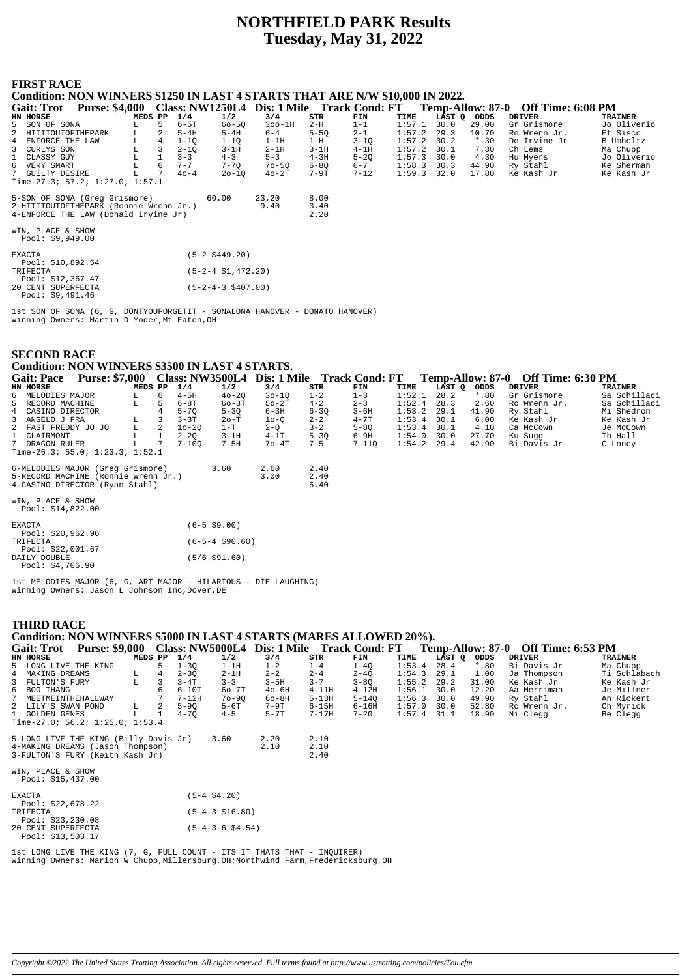# **NORTHFIELD PARK Results Tuesday, May 31, 2022**

## **FIRST RACE**

**Condition: NON WINNERS \$1250 IN LAST 4 STARTS THAT ARE N/W \$10,000 IN 2022.**

| <b>Gait: Trot</b>                            | <b>Purse: \$4,000</b>                  |         |    |          |           |           |          | Class: NW1250L4 Dis: 1 Mile Track Cond: FT |        |      |             | Temp-Allow: 87-0 Off Time: 6:08 PM |                |
|----------------------------------------------|----------------------------------------|---------|----|----------|-----------|-----------|----------|--------------------------------------------|--------|------|-------------|------------------------------------|----------------|
| HN HORSE                                     |                                        | MEDS PP |    | 1/4      | 1/2       | 3/4       | STR      | FIN                                        | TIME   |      | LAST Q ODDS | DRIVER                             | <b>TRAINER</b> |
| 5 SON OF SONA                                |                                        | L.      | 5. | $6-5T$   | $60 - 50$ | $300-1H$  | 2-H      | $1 - 1$                                    | 1:57.1 | 30.0 | 29.00       | Gr Grismore                        | Jo Oliverio    |
| 2 HITITOUTOFTHEPARK                          |                                        | L       | 2  | $5-4H$   | $5 - 4H$  | $6 - 4$   | $5 - 50$ | $2 - 1$                                    | 1:57.2 | 29.3 | 10.70       | Ro Wrenn Jr.                       | Et Sisco       |
| 4 ENFORCE THE LAW                            |                                        | L       | 4  | $1 - 10$ | $1 - 10$  | $1-1H$    | $1-H$    | $3 - 10$                                   | 1:57.2 | 30.2 | $*$ .30     | Do Irvine Jr                       | B Umholtz      |
| 3 CURLYS SON                                 |                                        | L       | 3  | $2 - 10$ | $3-1H$    | $2-1H$    | $3-1H$   | $4-1H$                                     | 1:57.2 | 30.1 | 7.30        | Ch Lems                            | Ma Chupp       |
| 1 CLASSY GUY                                 |                                        |         |    | $3 - 3$  | $4 - 3$   | $5 - 3$   | $4 - 3H$ | $5 - 20$                                   | 1:57.3 | 30.0 | 4.30        | Hu Myers                           | Jo Oliverio    |
| 6 VERY SMART                                 |                                        | L.      | 6  | $7 - 7$  | $7 - 70$  | $70 - 50$ | $6 - 80$ | $6 - 7$                                    | 1:58.3 | 30.3 | 44.90       | Ry Stahl                           | Ke Sherman     |
| 7 GUILTY DESIRE                              |                                        | L       |    | $40 - 4$ | $20 - 10$ | $40-2T$   | 7-9T     | $7 - 12$                                   | 1:59.3 | 32.0 | 17.80       | Ke Kash Jr                         | Ke Kash Jr     |
|                                              | Time-27.3; 57.2; 1:27.0; 1:57.1        |         |    |          |           |           |          |                                            |        |      |             |                                    |                |
|                                              | 5-SON OF SONA (Greq Grismore)          |         |    |          | 60.00     | 23.20     | 8.00     |                                            |        |      |             |                                    |                |
|                                              | 2-HITITOUTOFTHEPARK (Ronnie Wrenn Jr.) |         |    |          |           | 9.40      | 3.40     |                                            |        |      |             |                                    |                |
| 2.20<br>4-ENFORCE THE LAW (Donald Irvine Jr) |                                        |         |    |          |           |           |          |                                            |        |      |             |                                    |                |
| WIN, PLACE & SHOW                            |                                        |         |    |          |           |           |          |                                            |        |      |             |                                    |                |
| Pool: $$9,949.00$                            |                                        |         |    |          |           |           |          |                                            |        |      |             |                                    |                |

| <b>EXACTA</b>      | $(5-2 \space $449.20)$      |
|--------------------|-----------------------------|
| Pool: \$10,892.54  |                             |
| TRIFECTA           | $(5-2-4 \text{ }51,472,20)$ |
| Pool: \$12,367.47  |                             |
| 20 CENT SUPERFECTA | $(5-2-4-3 \t5407.00)$       |
| Pool: $$9,491.46$  |                             |

1st SON OF SONA (6, G, DONTYOUFORGETIT - SONALONA HANOVER - DONATO HANOVER) Winning Owners: Martin D Yoder,Mt Eaton,OH

# **SECOND RACE Condition: NON WINNERS \$3500 IN LAST 4 STARTS.**

| <b>Gait: Pace</b>                      | <b>Purse: \$7,000</b> |         |    |           |                   | Class: NW3500L4 Dis: 1 Mile Track Cond: FT |          |          |               |        |         | Temp-Allow: 87-0 Off Time: 6:30 PM |              |
|----------------------------------------|-----------------------|---------|----|-----------|-------------------|--------------------------------------------|----------|----------|---------------|--------|---------|------------------------------------|--------------|
| HN HORSE                               |                       | MEDS PP |    | 1/4       | 1/2               | 3/4                                        | STR      | FIN      | TIME          | LAST Q | ODDS    | DRIVER                             | TRAINER      |
| 6 MELODIES MAJOR                       |                       | L       | б. | $4-5H$    | $40 - 20$         | $30 - 10$                                  | $1 - 2$  | $1 - 3$  | 1:52.1        | 28.2   | $*$ .80 | Gr Grismore                        | Sa Schillaci |
| 5 RECORD MACHINE                       |                       | L       | 5. | 6-8T      | $60-3T$           | $50-2T$                                    | $4 - 2$  | $2 - 3$  | 1:52.4        | 28.3   | 2.60    | Ro Wrenn Jr.                       | Sa Schillaci |
| 4 CASINO DIRECTOR                      |                       |         |    | $5 - 70$  | $5 - 30$          | $6-3H$                                     | $6 - 30$ | $3 - 6H$ | 1:53.2        | 29.1   | 41.90   | Ry Stahl                           | Mi Shedron   |
| 3 ANGELO J FRA                         |                       | L       |    | $3 - 3T$  | 2о-т              | $10-0$                                     | $2 - 2$  | $4 - 7T$ | 1:53.4        | 30.1   | 6.00    | Ke Kash Jr                         | Ke Kash Jr   |
| 2 FAST FREDDY JO JO                    |                       | L       | 2  | $10 - 20$ | $1-T$             | $2-Q$                                      | $3 - 2$  | $5 - 80$ | 1:53.4        | 30.1   | 4.10    | Ca McCown                          | Je McCown    |
| 1 CLAIRMONT                            |                       | L       |    | $2 - 20$  | $3-1H$            | $4-1T$                                     | $5 - 30$ | 6-9H     | 1:54.0        | 30.0   | 27.70   | Ku Sugg                            | Th Hall      |
| 7 DRAGON RULER                         |                       | L       |    | $7 - 100$ | 7-5H              | $7o-4T$                                    | $7 - 5$  | 7-110    | $1:54.2$ 29.4 |        | 42.90   | Bi Davis Jr                        | C Loney      |
| Time-26.3; 55.0; 1:23.3; 1:52.1        |                       |         |    |           |                   |                                            |          |          |               |        |         |                                    |              |
| 6-MELODIES MAJOR (Greq Grismore)       |                       |         |    |           | 3.60              | 2.60                                       | 2.40     |          |               |        |         |                                    |              |
| 5-RECORD MACHINE (Ronnie Wrenn Jr.)    |                       |         |    |           |                   | 3.00                                       | 2.40     |          |               |        |         |                                    |              |
| 4-CASINO DIRECTOR (Ryan Stahl)         |                       |         |    |           |                   |                                            | 6.40     |          |               |        |         |                                    |              |
| WIN, PLACE & SHOW<br>Pool: \$14,822.00 |                       |         |    |           |                   |                                            |          |          |               |        |         |                                    |              |
| EXACTA<br>Pool: \$20,962.96            |                       |         |    |           | $(6 - 5 \ $9.00)$ |                                            |          |          |               |        |         |                                    |              |

| $F001 \cdot 240, 902.90$ |                               |
|--------------------------|-------------------------------|
| TRIFECTA                 | $(6 - 5 - 4 \text{ } $90.60)$ |
| Pool: $$22.001.67$       |                               |
| DATLY DOUBLE             | $(5/6 \text{ } $91.60)$       |
| Pool: $$4.706.90$        |                               |

1st MELODIES MAJOR (6, G, ART MAJOR - HILARIOUS - DIE LAUGHING) Winning Owners: Jason L Johnson Inc,Dover,DE

# **THIRD RACE Condition: NON WINNERS \$5000 IN LAST 4 STARTS (MARES ALLOWED 20%).**

| <b>Gait: Trot</b>                      | <b>Purse: \$9,000</b>                 |         |                |          |                       | Class: NW5000L4 Dis: 1 Mile Track Cond: FT |           |           |        |        |         | Temp-Allow: 87-0 Off Time: 6:53 PM |                |
|----------------------------------------|---------------------------------------|---------|----------------|----------|-----------------------|--------------------------------------------|-----------|-----------|--------|--------|---------|------------------------------------|----------------|
| HN HORSE                               |                                       | MEDS PP |                | 1/4      | 1/2                   | 3/4                                        | STR       | FIN       | TIME   | LAST O | ODDS    | <b>DRIVER</b>                      | <b>TRAINER</b> |
| 5 LONG LIVE THE KING                   |                                       |         | 5              | $1 - 30$ | $1-1H$                | $1 - 2$                                    | $1 - 4$   | $1 - 40$  | 1:53.4 | 28.4   | $*$ .80 | Bi Davis Jr                        | Ma Chupp       |
| 4 MAKING DREAMS                        |                                       | L       | $\overline{4}$ | $2 - 30$ | $2-1H$                | $2 - 2$                                    | $2 - 4$   | $2 - 40$  | 1:54.3 | 29.1   | 1.00    | Ja Thompson                        | Ti Schlabach   |
| 3 FULTON'S FURY                        |                                       | L       | 3              | $3 - 4T$ | $3 - 3$               | $3-5H$                                     | $3 - 7$   | $3 - 80$  | 1:55.2 | 29.2   | 31.00   | Ke Kash Jr                         | Ke Kash Jr     |
| 6 BOO THANG                            |                                       |         | 6              | $6-10T$  | $60-7T$               | $40-6H$                                    | $4-11H$   | $4 - 12H$ | 1:56.1 | 30.0   | 12.20   | Aa Merriman                        | Je Millner     |
| 7 MEETMEINTHEHALLWAY                   |                                       |         |                | $7-12H$  | $70 - 90$             | $60 - 8H$                                  | $5-13H$   | $5 - 140$ | 1:56.3 | 30.0   | 49.90   | Ry Stahl                           | An Rickert     |
| 2 LILY'S SWAN POND                     |                                       | L       |                | $5 - 90$ | 5-6T                  | 7-9T                                       | $6-15H$   | 6-16H     | 1:57.0 | 30.0   | 52.80   | Ro Wrenn Jr.                       | Ch Myrick      |
| 1 GOLDEN GENES                         |                                       |         |                | $4 - 70$ | $4 - 5$               | $5-7T$                                     | $7 - 17H$ | $7 - 20$  | 1:57.4 | 31.1   | 18.90   | Ni Clegg                           | Be Clegg       |
|                                        | Time-27.0; 56.2; 1:25.0; 1:53.4       |         |                |          |                       |                                            |           |           |        |        |         |                                    |                |
|                                        | 5-LONG LIVE THE KING (Billy Davis Jr) |         |                |          | 3.60                  | 2.20                                       | 2.10      |           |        |        |         |                                    |                |
|                                        | 4-MAKING DREAMS (Jason Thompson)      |         |                |          |                       | 2.10                                       | 2.10      |           |        |        |         |                                    |                |
|                                        | 3-FULTON'S FURY (Keith Kash Jr)       |         |                |          |                       |                                            | 2.40      |           |        |        |         |                                    |                |
| WIN, PLACE & SHOW<br>Pool: \$15,437.00 |                                       |         |                |          |                       |                                            |           |           |        |        |         |                                    |                |
| <b>EVACEA</b>                          |                                       |         |                |          | $I E$ $A$ $A$ $A$ $A$ |                                            |           |           |        |        |         |                                    |                |

| <b>EXACTA</b>      | $(5-4 \t$4.20)$            |
|--------------------|----------------------------|
| Pool: $$22.678.22$ |                            |
| TRIFECTA           | $(5-4-3 \; \text{S}16.80)$ |
| Pool: \$23,230.08  |                            |
| 20 CENT SUPERFECTA | $(5-4-3-6 \text{ }54.54)$  |
| Pool: \$13,503.17  |                            |

1st LONG LIVE THE KING (7, G, FULL COUNT - ITS IT THATS THAT - INQUIRER) Winning Owners: Marion W Chupp,Millersburg,OH;Northwind Farm,Fredericksburg,OH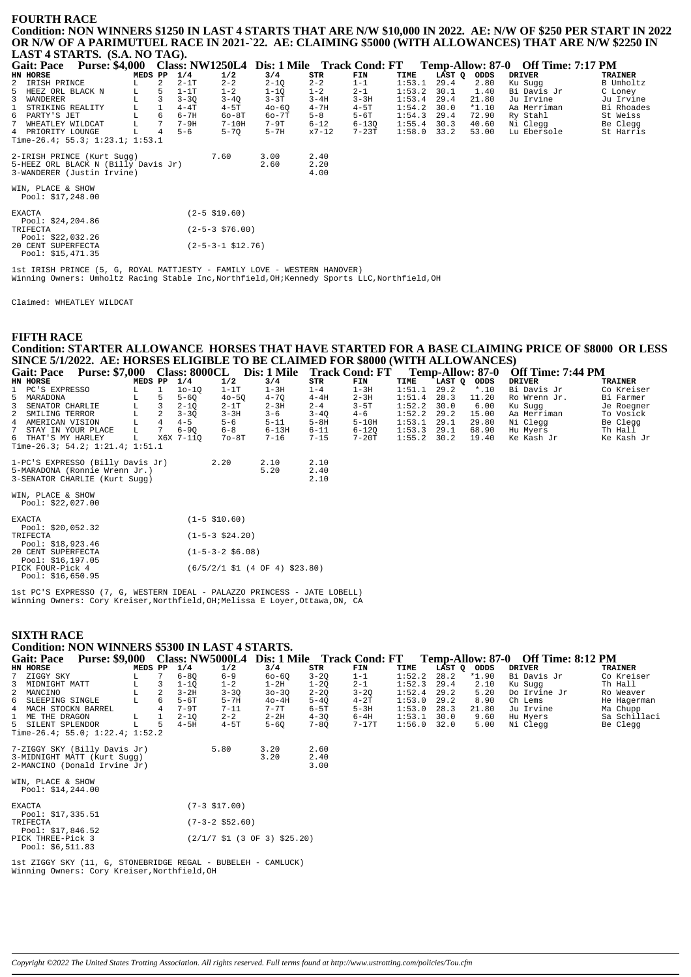#### **FOURTH RACE**

**Condition: NON WINNERS \$1250 IN LAST 4 STARTS THAT ARE N/W \$10,000 IN 2022. AE: N/W OF \$250 PER START IN 2022 OR N/W OF A PARIMUTUEL RACE IN 2021-`22. AE: CLAIMING \$5000 (WITH ALLOWANCES) THAT ARE N/W \$2250 IN LAST 4 STARTS. (S.A. NO TAG).**

|               | <b>Gait: Pace</b>  | <b>Purse: \$4,000</b>               |         |    |          |                        | Class: NW1250L4 Dis: 1 Mile Track Cond: FT |           |           |        |        |         | Temp-Allow: 87-0 Off Time: 7:17 PM |                |
|---------------|--------------------|-------------------------------------|---------|----|----------|------------------------|--------------------------------------------|-----------|-----------|--------|--------|---------|------------------------------------|----------------|
|               | HN HORSE           |                                     | MEDS PP |    | 1/4      | 1/2                    | 3/4                                        | STR       | FIN       | TIME   | LAST Q | ODDS    | <b>DRIVER</b>                      | <b>TRAINER</b> |
|               | 2 IRISH PRINCE     |                                     | L       | 2  | $2-1T$   | $2 - 2$                | $2 - 10$                                   | $2 - 2$   | $1 - 1$   | 1:53.1 | 29.4   | 2.80    | Ku Sugg                            | B Umholtz      |
|               | 5 HEEZ ORL BLACK N |                                     | L       | 5  | $1-1T$   | $1 - 2$                | $1 - 10$                                   | $1 - 2$   | $2 - 1$   | 1:53.2 | 30.1   | 1.40    | Bi Davis Jr                        | C Loney        |
|               | 3 WANDERER         |                                     | L       |    | $3 - 30$ | $3 - 40$               | $3 - 3T$                                   | $3 - 4H$  | $3 - 3H$  | 1:53.4 | 29.4   | 21.80   | Ju Irvine                          | Ju Irvine      |
| $\mathbf{1}$  | STRIKING REALITY   |                                     | г       |    | $4-4T$   | $4-5T$                 | $40 - 60$                                  | $4 - 7H$  | $4-5T$    | 1:54.2 | 30.0   | $*1.10$ | Aa Merriman                        | Bi Rhoades     |
|               | 6 PARTY'S JET      |                                     | L       | -6 | $6 - 7H$ | $60-8T$                | $60 - 7T$                                  | $5 - 8$   | 5-6T      | 1:54.3 | 29.4   | 72.90   | Ry Stahl                           | St Weiss       |
| $7^{\circ}$   | WHEATLEY WILDCAT   |                                     | L       | 7  | $7-9H$   | $7-10H$                | $7-9T$                                     | $6 - 12$  | $6 - 130$ | 1:55.4 | 30.3   | 40.60   | Ni Clegg                           | Be Clegg       |
|               | 4 PRIORITY LOUNGE  |                                     | L       | 4  | $5 - 6$  | $5 - 70$               | $5-7H$                                     | $x7 - 12$ | $7-23T$   | 1:58.0 | 33.2   | 53.00   | Lu Ebersole                        | St Harris      |
|               |                    | Time-26.4; 55.3; $1:23.1; 1:53.1$   |         |    |          |                        |                                            |           |           |        |        |         |                                    |                |
|               |                    | 2-IRISH PRINCE (Kurt Sugg)          |         |    |          | 7.60                   | 3.00                                       | 2.40      |           |        |        |         |                                    |                |
|               |                    | 5-HEEZ ORL BLACK N (Billy Davis Jr) |         |    |          |                        | 2.60                                       | 2.20      |           |        |        |         |                                    |                |
|               |                    | 3-WANDERER (Justin Irvine)          |         |    |          |                        |                                            | 4.00      |           |        |        |         |                                    |                |
|               | WIN, PLACE & SHOW  |                                     |         |    |          |                        |                                            |           |           |        |        |         |                                    |                |
|               | Pool: \$17,248.00  |                                     |         |    |          |                        |                                            |           |           |        |        |         |                                    |                |
| <b>EXACTA</b> |                    |                                     |         |    |          | $(2 - 5 \ $19.60)$     |                                            |           |           |        |        |         |                                    |                |
|               | Pool: \$24,204.86  |                                     |         |    |          |                        |                                            |           |           |        |        |         |                                    |                |
| TRIFECTA      |                    |                                     |         |    |          | $(2 - 5 - 3 \ $76.00)$ |                                            |           |           |        |        |         |                                    |                |
|               | Pool: \$22,032.26  |                                     |         |    |          |                        |                                            |           |           |        |        |         |                                    |                |
|               | 20 CENT SUPERFECTA |                                     |         |    |          | (2-5-3-1 \$12.76)      |                                            |           |           |        |        |         |                                    |                |

1st IRISH PRINCE (5, G, ROYAL MATTJESTY - FAMILY LOVE - WESTERN HANOVER) Winning Owners: Umholtz Racing Stable Inc,Northfield,OH;Kennedy Sports LLC,Northfield,OH

Claimed: WHEATLEY WILDCAT

Pool: \$15,471.35

#### **FIFTH RACE Condition: STARTER ALLOWANCE HORSES THAT HAVE STARTED FOR A BASE CLAIMING PRICE OF \$8000 OR LESS SINCE 5/1/2022. AE: HORSES ELIGIBLE TO BE CLAIMED FOR \$8000 (WITH ALLOWANCES)**

| <b>Gait: Pace</b>                       | <b>Purse: \$7,000</b>            |         |                 | <b>Class: 8000CL</b> |                    | Dis: 1 Mile Track Cond: FT |          |           |               | <b>Temp-Allow: 87-0</b> |         | Off Time: 7:44 PM |                |
|-----------------------------------------|----------------------------------|---------|-----------------|----------------------|--------------------|----------------------------|----------|-----------|---------------|-------------------------|---------|-------------------|----------------|
| HN HORSE                                |                                  | MEDS PP |                 | 1/4                  | 1/2                | 3/4                        | STR      | FIN       | TIME          | LAST O                  | ODDS    | <b>DRIVER</b>     | <b>TRAINER</b> |
| 1 PC'S EXPRESSO                         |                                  | L.      |                 | $10 - 10$            | $1-1T$             | $1-3H$                     | $1 - 4$  | $1-3H$    | 1:51.1        | 29.2                    | $*$ .10 | Bi Davis Jr       | Co Kreiser     |
| 5 MARADONA                              |                                  | L       | 5               | $5 - 60$             | $40 - 50$          | $4 - 70$                   | $4-4H$   | $2 - 3H$  | 1:51.4        | 28.3                    | 11.20   | Ro Wrenn Jr.      | Bi Farmer      |
| 3 SENATOR CHARLIE                       |                                  |         | 3               | $2 - 10$             | $2-1T$             | $2 - 3H$                   | $2 - 4$  | $3 - 5T$  | 1:52.2        | 30.0                    | 6.00    | Ku Suqq           | Je Roegner     |
| 2 SMILING TERROR                        |                                  |         | 2               | $3 - 30$             | $3 - 3H$           | $3 - 6$                    | $3 - 40$ | $4 - 6$   | 1:52.2        | 29.2                    | 15.00   | Aa Merriman       | To Vosick      |
| 4 AMERICAN VISION                       |                                  | L       | $\overline{4}$  | $4 - 5$              | $5 - 6$            | $5 - 11$                   | $5-8H$   | $5-10H$   | 1:53.1        | 29.1                    | 29.80   | Ni Clegg          | Be Clegg       |
| 7 STAY IN YOUR PLACE                    |                                  | L       | $7\phantom{.0}$ | $6 - 90$             | $6 - 8$            | $6 - 13H$                  | $6 - 11$ | $6 - 120$ | 1:53.3        | 29.1                    | 68.90   | Hu Myers          | Th Hall        |
| 6 THAT'S MY HARLEY                      |                                  | L.      |                 | X6X 7-110            | $70-8T$            | $7 - 16$                   | $7 - 15$ | $7-20T$   | $1:55.2$ 30.2 |                         | 19.40   | Ke Kash Jr        | Ke Kash Jr     |
|                                         | Time-26.3; 54.2; 1:21.4; 1:51.1  |         |                 |                      |                    |                            |          |           |               |                         |         |                   |                |
|                                         | 1-PC'S EXPRESSO (Billy Davis Jr) |         |                 |                      | 2.20               | 2.10                       | 2.10     |           |               |                         |         |                   |                |
|                                         | 5-MARADONA (Ronnie Wrenn Jr.)    |         |                 |                      |                    | 5.20                       | 2.40     |           |               |                         |         |                   |                |
|                                         | 3-SENATOR CHARLIE (Kurt Sugg)    |         |                 |                      |                    |                            | 2.10     |           |               |                         |         |                   |                |
| WIN, PLACE & SHOW<br>Pool: $$22,027.00$ |                                  |         |                 |                      |                    |                            |          |           |               |                         |         |                   |                |
| EXACTA<br>-----------                   |                                  |         |                 |                      | $(1 - 5 \ $10.60)$ |                            |          |           |               |                         |         |                   |                |

| Pool: \$20,052.32  |                                                           |
|--------------------|-----------------------------------------------------------|
| TRIFECTA           | $(1-5-3 \; $24.20)$                                       |
| Pool: \$18,923.46  |                                                           |
| 20 CENT SUPERFECTA | $(1-5-3-2 \text{ }56.08)$                                 |
| Pool: \$16,197.05  |                                                           |
| PICK FOUR-Pick 4   | $(6/5/2/1 \text{ } 51 (4 \text{ } 0F 4) \text{ } 523.80)$ |
| Pool: \$16,650.95  |                                                           |
|                    |                                                           |

1st PC'S EXPRESSO (7, G, WESTERN IDEAL - PALAZZO PRINCESS - JATE LOBELL) Winning Owners: Cory Kreiser,Northfield,OH;Melissa E Loyer,Ottawa,ON, CA

#### **SIXTH RACE** <sup>2</sup><br>AN WINNERS \$5300 IN LAST 4 STARTS.

| CONGILION: INCIN WINNERS 55500 IN LAST 4 STARTS.             |                       |   |          |                   |                                |          |                                            |        |        |         |                                    |                |
|--------------------------------------------------------------|-----------------------|---|----------|-------------------|--------------------------------|----------|--------------------------------------------|--------|--------|---------|------------------------------------|----------------|
| <b>Gait: Pace</b>                                            | <b>Purse: \$9,000</b> |   |          |                   |                                |          | Class: NW5000L4 Dis: 1 Mile Track Cond: FT |        |        |         | Temp-Allow: 87-0 Off Time: 8:12 PM |                |
| HN HORSE                                                     | MEDS PP               |   | 1/4      | 1/2               | 3/4                            | STR      | FIN                                        | TIME   | LAST Q | ODDS    | <b>DRIVER</b>                      | <b>TRAINER</b> |
| 7<br>ZIGGY SKY                                               | L                     | 7 | $6 - 80$ | $6 - 9$           | $60 - 60$                      | $3 - 20$ | $1 - 1$                                    | 1:52.2 | 28.2   | $*1.90$ | Bi Davis Jr                        | Co Kreiser     |
| MIDNIGHT MATT<br>3                                           | L                     | 3 | $1 - 10$ | $1 - 2$           | $1-2H$                         | $1 - 20$ | $2 - 1$                                    | 1:52.3 | 29.4   | 2.10    | Ku Suqq                            | Th Hall        |
| MANCINO<br>2                                                 | L                     | 2 | $3-2H$   | $3 - 30$          | $30 - 30$                      | $2 - 2Q$ | $3 - 2Q$                                   | 1:52.4 | 29.2   | 5.20    | Do Irvine Jr                       | Ro Weaver      |
| 6<br>SLEEPING SINGLE                                         | L                     | 6 | 5-6T     | $5-7H$            | $40-4H$                        | $5 - 4Q$ | $4-2T$                                     | 1:53.0 | 29.2   | 8.90    | Ch Lems                            | He Hagerman    |
| 4 MACH STOCKN BARREL                                         |                       |   | 7-9T     | $7 - 11$          | $7 - 7$ T                      | $6 - 5T$ | $5-3H$                                     | 1:53.0 | 28.3   | 21.80   | Ju Irvine                          | Ma Chupp       |
| 1 ME THE DRAGON                                              | L                     | 1 | $2 - 10$ | $2 - 2$           | $2-2H$                         | $4 - 30$ | $6-4H$                                     | 1:53.1 | 30.0   | 9.60    | Hu Myers                           | Sa Schillaci   |
| 5 SILENT SPLENDOR                                            | L                     | 5 | $4-5H$   | $4-5T$            | $5 - 6Q$                       | 7-8Q     | $7-17$ T                                   | 1:56.0 | 32.0   | 5.00    | Ni Clegg                           | Be Clegg       |
| Time-26.4; 55.0; $1:22.4$ ; $1:52.2$                         |                       |   |          |                   |                                |          |                                            |        |        |         |                                    |                |
| 7-ZIGGY SKY (Billy Davis Jr)                                 |                       |   |          | 5.80              | 3.20                           | 2.60     |                                            |        |        |         |                                    |                |
| 3-MIDNIGHT MATT (Kurt Sugg)                                  |                       |   |          |                   | 3.20                           | 2.40     |                                            |        |        |         |                                    |                |
| 2-MANCINO (Donald Irvine Jr)                                 |                       |   |          |                   |                                | 3.00     |                                            |        |        |         |                                    |                |
| WIN, PLACE & SHOW<br>Pool: $$14, 244.00$                     |                       |   |          |                   |                                |          |                                            |        |        |         |                                    |                |
| <b>EXACTA</b>                                                |                       |   |          | $(7-3$ \$17.00)   |                                |          |                                            |        |        |         |                                    |                |
| Pool: $$17,335.51$<br>TRIFECTA                               |                       |   |          | $(7-3-2$ \$52.60) |                                |          |                                            |        |        |         |                                    |                |
| Pool: $$17,846.52$<br>PICK THREE-Pick 3<br>Pool: $$6,511.83$ |                       |   |          |                   | $(2/1/7$ \$1 (3 OF 3) \$25.20) |          |                                            |        |        |         |                                    |                |

1st ZIGGY SKY (11, G, STONEBRIDGE REGAL - BUBELEH - CAMLUCK) Winning Owners: Cory Kreiser,Northfield,OH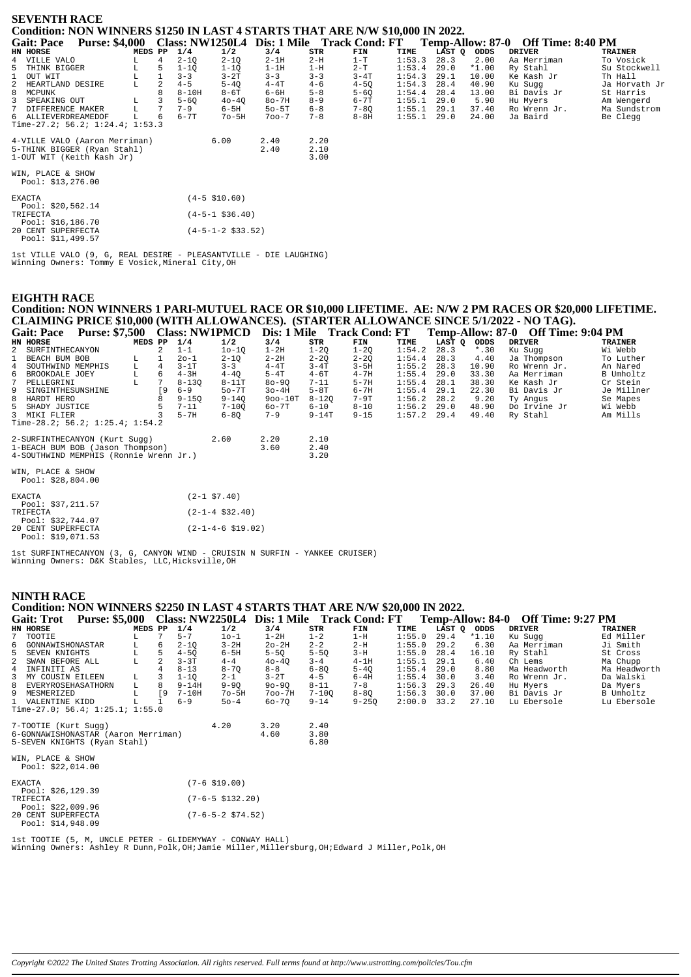| <b>SEVENTH RACE</b>                                                                       |                                                           |         |                |          |                   |              |                      |          |        |        |         |                                    |                |
|-------------------------------------------------------------------------------------------|-----------------------------------------------------------|---------|----------------|----------|-------------------|--------------|----------------------|----------|--------|--------|---------|------------------------------------|----------------|
| Condition: NON WINNERS \$1250 IN LAST 4 STARTS THAT ARE N/W \$10,000 IN 2022.             |                                                           |         |                |          |                   |              |                      |          |        |        |         |                                    |                |
| <b>Gait: Pace</b>                                                                         | Purse: \$4,000 Class: NW1250L4 Dis: 1 Mile Track Cond: FT |         |                |          |                   |              |                      |          |        |        |         | Temp-Allow: 87-0 Off Time: 8:40 PM |                |
| HN HORSE                                                                                  |                                                           | MEDS PP |                | 1/4      | 1/2               | 3/4          | STR                  | FIN      | TIME   | LAST Q | ODDS    | <b>DRIVER</b>                      | <b>TRAINER</b> |
| 4 VILLE VALO                                                                              |                                                           |         | $\overline{4}$ | $2 - 10$ | $2 - 1Q$          | $2-1H$       | $2-H$                | $1-T$    | 1:53.3 | 28.3   | 2.00    | Aa Merriman                        | To Vosick      |
| THINK BIGGER<br>5                                                                         |                                                           | L       | 5              | $1 - 10$ | $1 - 10$          | $1-1H$       | $1-H$                | $2-T$    | 1:53.4 | 29.0   | $*1.00$ | Ry Stahl                           | Su Stockwell   |
| OUT WIT                                                                                   |                                                           |         |                | $3 - 3$  | $3-2T$            | $3 - 3$      | $3 - 3$              | $3 - 4T$ | 1:54.3 | 29.1   | 10.00   | Ke Kash Jr                         | Th Hall        |
| HEARTLAND DESIRE<br>2                                                                     |                                                           |         |                | $4 - 5$  | $5 - 4Q$          | $4-4T$       | $4 - 6$              | $4 - 5Q$ | 1:54.3 | 28.4   | 40.90   | Ku Sugg                            | Ja Horvath Jr  |
| 8<br>MCPUNK                                                                               |                                                           |         |                | $8-10H$  | $8-6T$            | $6-6H$       | $5 - 8$              | $5 - 6Q$ | 1:54.4 | 28.4   | 13.00   | Bi Davis Jr                        | St Harris      |
| SPEAKING OUT                                                                              |                                                           |         |                | $5 - 6Q$ | $40-4Q$           | $8o-7H$      | $8 - 9$              | $6 - 7T$ | 1:55.1 | 29.0   | 5.90    | Hu Myers                           | Am Wengerd     |
| DIFFERENCE MAKER                                                                          |                                                           | L       | 7              | $7 - 9$  | $6-5H$            | $50 - 5T$    | $6 - 8$              | $7 - 8Q$ | 1:55.1 | 29.1   | 37.40   | Ro Wrenn Jr.                       | Ma Sundstrom   |
| 6 ALLIEVERDREAMEDOF                                                                       |                                                           |         | 6              | $6 - 7T$ | $70 - 5H$         | $700 - 7$    | $7 - 8$              | $8-8H$   | 1:55.1 | 29.0   | 24.00   | Ja Baird                           | Be Clegg       |
| Time-27.2; $56.2; 1:24.4; 1:53.3$                                                         |                                                           |         |                |          |                   |              |                      |          |        |        |         |                                    |                |
| 4-VILLE VALO (Aaron Merriman)<br>5-THINK BIGGER (Ryan Stahl)<br>1-OUT WIT (Keith Kash Jr) |                                                           |         |                |          | 6.00              | 2.40<br>2.40 | 2.20<br>2.10<br>3.00 |          |        |        |         |                                    |                |
| WIN, PLACE & SHOW<br>Pool: \$13,276.00                                                    |                                                           |         |                |          |                   |              |                      |          |        |        |         |                                    |                |
| <b>EXACTA</b><br>Pool: $$20,562.14$                                                       |                                                           |         |                |          | $(4-5 \; $10.60)$ |              |                      |          |        |        |         |                                    |                |
| TRIFECTA<br>Pool: $$16,186.70$                                                            |                                                           |         |                |          | $(4-5-1$ \$36.40) |              |                      |          |        |        |         |                                    |                |
| $(4-5-1-2$ \$33.52)<br>20 CENT SUPERFECTA<br>Pool: \$11,499.57                            |                                                           |         |                |          |                   |              |                      |          |        |        |         |                                    |                |

1st VILLE VALO (9, G, REAL DESIRE - PLEASANTVILLE - DIE LAUGHING) Winning Owners: Tommy E Vosick,Mineral City,OH

# **EIGHTH RACE Condition: NON WINNERS 1 PARI-MUTUEL RACE OR \$10,000 LIFETIME. AE: N/W 2 PM RACES OR \$20,000 LIFETIME. CLAIMING PRICE \$10,000 (WITH ALLOWANCES). (STARTER ALLOWANCE SINCE 5/1/2022 - NO TAG).**

|                               |                                                                                                                                                                           |                                                        |                                                                             | 1/2                                                   | 3/4                           | STR                  | FIN         | TIME                   |                       | ODDS                                                                                          |                                            | <b>TRAINER</b>                                                                                                                                                                              |
|-------------------------------|---------------------------------------------------------------------------------------------------------------------------------------------------------------------------|--------------------------------------------------------|-----------------------------------------------------------------------------|-------------------------------------------------------|-------------------------------|----------------------|-------------|------------------------|-----------------------|-----------------------------------------------------------------------------------------------|--------------------------------------------|---------------------------------------------------------------------------------------------------------------------------------------------------------------------------------------------|
|                               |                                                                                                                                                                           |                                                        | $1 - 1$                                                                     | $10 - 10$                                             | $1-2H$                        | $1 - 20$             | $1 - 20$    |                        | 28.3                  | $*$ .30                                                                                       |                                            | Wi Webb                                                                                                                                                                                     |
|                               | ш.                                                                                                                                                                        |                                                        | $20 - 1$                                                                    | $2 - 10$                                              | $2-2H$                        | $2 - 20$             | $2 - 20$    |                        | 28.3                  | 4.40                                                                                          |                                            | To Luther                                                                                                                                                                                   |
|                               |                                                                                                                                                                           | 4                                                      | $3-1T$                                                                      | $3 - 3$                                               | $4-4T$                        | $3 - 4T$             | $3-5H$      |                        | 28.3                  |                                                                                               |                                            | An Nared                                                                                                                                                                                    |
|                               | L                                                                                                                                                                         | 6                                                      | $4-3H$                                                                      | $4 - 40$                                              | $5-4T$                        | $4 - 6T$             | $4 - 7H$    |                        | 29.0                  |                                                                                               |                                            | B Umholtz                                                                                                                                                                                   |
|                               | L                                                                                                                                                                         |                                                        | $8 - 130$                                                                   | $8-11T$                                               | $80 - 90$                     | $7 - 11$             | $5-7H$      |                        | 28.1                  | 38.30                                                                                         |                                            | Cr Stein                                                                                                                                                                                    |
|                               |                                                                                                                                                                           | ſ9.                                                    | $6 - 9$                                                                     | $50-7T$                                               | $3o-4H$                       | $5-8T$               | $6 - 7H$    |                        | 29.1                  | 22.30                                                                                         |                                            | Je Millner                                                                                                                                                                                  |
|                               |                                                                                                                                                                           | 8                                                      | $9 - 150$                                                                   | $9 - 140$                                             | $900 - 10T$                   |                      | 7-9T        |                        | 28.2                  | 9.20                                                                                          |                                            | Se Mapes                                                                                                                                                                                    |
|                               |                                                                                                                                                                           | 5                                                      | $7 - 11$                                                                    | $7 - 100$                                             | 60-7T                         | $6 - 10$             | $8 - 10$    |                        |                       |                                                                                               |                                            | Wi Webb                                                                                                                                                                                     |
|                               |                                                                                                                                                                           |                                                        | $5-7H$                                                                      | $6 - 80$                                              | $7 - 9$                       |                      | $9 - 15$    |                        | 29.4                  |                                                                                               |                                            | Am Mills                                                                                                                                                                                    |
|                               |                                                                                                                                                                           |                                                        |                                                                             |                                                       |                               |                      |             |                        |                       |                                                                                               |                                            |                                                                                                                                                                                             |
|                               |                                                                                                                                                                           |                                                        |                                                                             |                                                       | 2.20<br>3.60                  | 2.10<br>2.40<br>3.20 |             |                        |                       |                                                                                               |                                            |                                                                                                                                                                                             |
| <b>Gait: Pace</b><br>HN HORSE | 2 SURFINTHECANYON<br>1 BEACH BUM BOB<br>4 SOUTHWIND MEMPHIS<br>6 BROOKDALE JOEY<br>7 PELLEGRINI<br>9 SINGINTHESUNSHINE<br>8 HARDT HERO<br>5 SHADY JUSTICE<br>3 MIKI FLIER | <b>Purse: \$7,500</b><br>2-SURFINTHECANYON (Kurt Sugg) | Time-28.2; $56.2$ ; $1:25.4$ ; $1:54.2$<br>1-BEACH BUM BOB (Jason Thompson) | MEDS PP 1/4<br>4-SOUTHWIND MEMPHIS (Ronnie Wrenn Jr.) | <b>Class: NW1PMCD</b><br>2.60 |                      | Dis: 1 Mile | $8 - 120$<br>$9 - 14T$ | <b>Track Cond: FT</b> | 1:54.2<br>1:54.4<br>1:55.2<br>1:55.4<br>1:55.4<br>1:55.4<br>1:56.2<br>$1:56.2$ 29.0<br>1:57.2 | LAST O<br>10.90<br>33.30<br>48.90<br>49.40 | <b>Off Time: 9:04 PM</b><br>Temp-Allow: 87-0<br><b>DRIVER</b><br>Ku Sugg<br>Ja Thompson<br>Ro Wrenn Jr.<br>Aa Merriman<br>Ke Kash Jr<br>Bi Davis Jr<br>Ty Angus<br>Do Irvine Jr<br>Ry Stahl |

| WIN. PLACE & SHOW |                    |  |  |
|-------------------|--------------------|--|--|
|                   | Pool: $$28,804.00$ |  |  |

| <b>EXACTA</b>      | $(2-1$ \$7.40)                    |
|--------------------|-----------------------------------|
| Pool: \$37,211.57  |                                   |
| <b>TRIFECTA</b>    | $(2 - 1 - 4 \text{ } $32.40)$     |
| Pool: \$32,744.07  |                                   |
| 20 CENT SUPERFECTA | $(2 - 1 - 4 - 6 \text{ } $19.02)$ |
| Pool: \$19,071.53  |                                   |

1st SURFINTHECANYON (3, G, CANYON WIND - CRUISIN N SURFIN - YANKEE CRUISER) Winning Owners: D&K Stables, LLC,Hicksville,OH

## **NINTH RACE**

|                   | Condition: NON WINNERS \$2250 IN LAST 4 STARTS THAT ARE N/W \$20,000 IN 2022. |         |     |           |                           |                                            |           |           |        |        |         |                                    |                |
|-------------------|-------------------------------------------------------------------------------|---------|-----|-----------|---------------------------|--------------------------------------------|-----------|-----------|--------|--------|---------|------------------------------------|----------------|
| <b>Gait: Trot</b> | <b>Purse: \$5,000</b>                                                         |         |     |           |                           | Class: NW2250L4 Dis: 1 Mile Track Cond: FT |           |           |        |        |         | Temp-Allow: 84-0 Off Time: 9:27 PM |                |
| HN HORSE          |                                                                               | MEDS PP |     | 1/4       | 1/2                       | 3/4                                        | STR       | FIN       | TIME   | LAST Q | ODDS    | <b>DRIVER</b>                      | <b>TRAINER</b> |
| 7 TOOTIE          |                                                                               | L.      | 7   | $5 - 7$   | $10 - 1$                  | $1-2H$                                     | $1 - 2$   | 1-H       | 1:55.0 | 29.4   | $*1.10$ | Ku Sugg                            | Ed Miller      |
| 6                 | GONNAWISHONASTAR                                                              | L       | 6   | $2 - 10$  | $3-2H$                    | $2o-2H$                                    | $2 - 2$   | $2-H$     | 1:55.0 | 29.2   | 6.30    | Aa Merriman                        | Ji Smith       |
| 5                 | SEVEN KNIGHTS                                                                 | L       | 5   | $4 - 50$  | $6-5H$                    | $5 - 50$                                   | $5 - 50$  | $3-H$     | 1:55.0 | 28.4   | 16.10   | Ry Stahl                           | St Cross       |
| 2                 | SWAN BEFORE ALL                                                               | L       | 2   | $3 - 3T$  | $4 - 4$                   | $40 - 40$                                  | $3 - 4$   | $4-1H$    | 1:55.1 | 29.1   | 6.40    | Ch Lems                            | Ma Chupp       |
| 4                 | INFINITI AS                                                                   |         |     | $8 - 13$  | $8 - 7Q$                  | $8 - 8$                                    | $6 - 80$  | $5 - 4Q$  | 1:55.4 | 29.0   | 8.80    | Ma Headworth                       | Ma Headworth   |
| 3                 | MY COUSIN EILEEN                                                              | L       | 3   | $1 - 1Q$  | $2 - 1$                   | $3-2T$                                     | $4 - 5$   | $6-4H$    | 1:55.4 | 30.0   | 3.40    | Ro Wrenn Jr.                       | Da Walski      |
| 8                 | EVERYROSEHASATHORN                                                            | L       | 8   | $9 - 14H$ | $9 - 90$                  | $90 - 90$                                  | $8 - 11$  | $7 - 8$   | 1:56.3 | 29.3   | 26.40   | Hu Myers                           | Da Myers       |
| 9<br>MESMERIZED   |                                                                               | L       | ſ9. | $7-10H$   | $7o-5H$                   | $700 - 7H$                                 | $7 - 100$ | $8 - 8Q$  | 1:56.3 | 30.0   | 37.00   | Bi Davis Jr                        | B Umholtz      |
|                   | 1 VALENTINE KIDD                                                              | L       |     | $6 - 9$   | $50 - 4$                  | 60-70                                      | $9 - 14$  | $9 - 25Q$ | 2:00.0 | 33.2   | 27.10   | Lu Ebersole                        | Lu Ebersole    |
|                   | Time-27.0; 56.4; $1:25.1; 1:55.0$                                             |         |     |           |                           |                                            |           |           |        |        |         |                                    |                |
|                   | 7-TOOTIE (Kurt Sugg)                                                          |         |     |           | 4.20                      | 3.20                                       | 2.40      |           |        |        |         |                                    |                |
|                   | 6-GONNAWISHONASTAR (Aaron Merriman)                                           |         |     |           |                           | 4.60                                       | 3.80      |           |        |        |         |                                    |                |
|                   | 5-SEVEN KNIGHTS (Ryan Stahl)                                                  |         |     |           |                           |                                            | 6.80      |           |        |        |         |                                    |                |
|                   |                                                                               |         |     |           |                           |                                            |           |           |        |        |         |                                    |                |
|                   | WIN, PLACE & SHOW                                                             |         |     |           |                           |                                            |           |           |        |        |         |                                    |                |
|                   | Pool: $$22,014.00$                                                            |         |     |           |                           |                                            |           |           |        |        |         |                                    |                |
|                   |                                                                               |         |     |           |                           |                                            |           |           |        |        |         |                                    |                |
| <b>EXACTA</b>     |                                                                               |         |     |           | $(7-6$ \$19.00)           |                                            |           |           |        |        |         |                                    |                |
|                   | Pool: \$26,129.39                                                             |         |     |           |                           |                                            |           |           |        |        |         |                                    |                |
| <b>TRATA</b>      |                                                                               |         |     |           | $17C$ $C$ $F$ $132$ $201$ |                                            |           |           |        |        |         |                                    |                |

Pool: \$26,129.39 TRIFECTA (7-6-5 \$132.20) Pool: \$22,009.96 20 CENT SUPERFECTA (7-6-5-2 \$74.52) Pool: \$14,948.09

1st TOOTIE (5, M, UNCLE PETER - GLIDEMYWAY - CONWAY HALL) Winning Owners: Ashley R Dunn,Polk,OH;Jamie Miller,Millersburg,OH;Edward J Miller,Polk,OH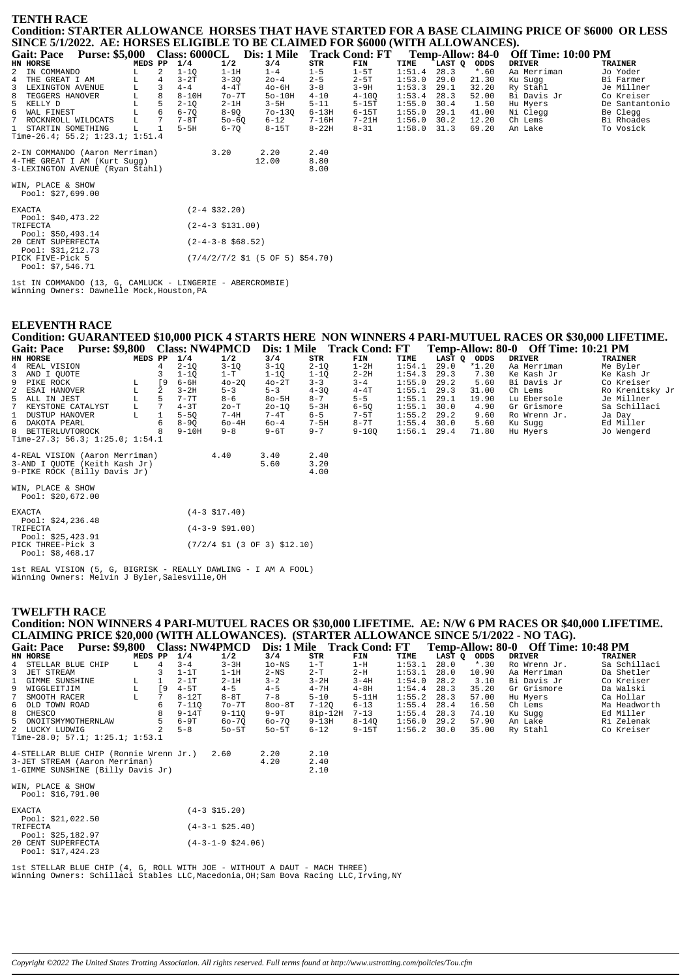# **TENTH RACE** Condition: STARTER ALLOWANCE HORSES THAT HAVE STARTED FOR A BASE CLAIMING PRICE OF \$6000 OR LESS SINCE 5/1/2022. AE: HORSES ELIGIBLE TO BE CLAIMED FOR \$6000 (WITH ALLOWANCES).

| <b>Purse: \$5,000</b><br><b>Gait: Pace</b> |                | <b>Class: 6000CL</b> |                      | Dis: 1 Mile |           | <b>Track Cond: FT</b> |               |        | Temp-Allow: 84-0 | <b>Off Time: 10:00 PM</b> |                |
|--------------------------------------------|----------------|----------------------|----------------------|-------------|-----------|-----------------------|---------------|--------|------------------|---------------------------|----------------|
| <b>HN HORSE</b>                            | MEDS PP        | 1/4                  | 1/2                  | 3/4         | STR       | FIN                   | TIME          | LAST Q | ODDS             | <b>DRIVER</b>             | <b>TRAINER</b> |
| 2 IN COMMANDO                              | $\mathcal{L}$  | $1 - 10$             | $1-1H$               | $1 - 4$     | $1 - 5$   | $1-5T$                | 1:51.4        | 28.3   | $*$ .60          | Aa Merriman               | Jo Yoder       |
| 4 THE GREAT I AM<br>L                      | $\overline{4}$ | $3-2T$               | $3 - 3Q$             | $20 - 4$    | $2 - 5$   | $2 - 5T$              | 1:53.0        | 29.0   | 21.30            | Ku Sugg                   | Bi Farmer      |
| 3<br>LEXINGTON AVENUE<br>L                 |                | $4 - 4$              | $4-4T$               | $40-6H$     | $3 - 8$   | $3-9H$                | 1:53.3        | 29.1   | 32.20            | Ry Stahl                  | Je Millner     |
| 8 TEGGERS HANOVER<br>L.                    | 8              | $8-10H$              | $7o-7T$              | $50-10H$    | $4 - 10$  | $4 - 100$             | 1:53.4        | 28.3   | 52.00            | Bi Davis Jr               | Co Kreiser     |
| 5 KELLY D                                  | 5              | $2 - 10$             | $2-1H$               | $3-5H$      | $5 - 11$  | $5-15T$               | 1:55.0        | 30.4   | 1.50             | Hu Myers                  | De Santantonio |
| 6 WAL FINEST                               | 6              | $6 - 70$             | $8-9Q$               | $70 - 130$  | $6 - 13H$ | $6-15T$               | 1:55.0        | 29.1   | 41.00            | Ni Clegg                  | Be Clegg       |
| 7<br>ROCKNROLL WILDCATS<br>L               |                | 7-8T                 | $50 - 60$            | $6 - 12$    | $7 - 16H$ | $7-21H$               | 1:56.0        | 30.2   | 12.20            | Ch Lems                   | Bi Rhoades     |
| 1 STARTIN SOMETHING<br>T.                  |                | $5-5H$               | $6 - 70$             | $8-15T$     | $8 - 22H$ | $8 - 31$              | $1:58.0$ 31.3 |        | 69.20            | An Lake                   | To Vosick      |
| Time-26.4; 55.2; 1:23.1; 1:51.4            |                |                      |                      |             |           |                       |               |        |                  |                           |                |
| 2-IN COMMANDO (Aaron Merriman)             |                |                      | 3.20                 | 2.20        | 2.40      |                       |               |        |                  |                           |                |
| 4-THE GREAT I AM (Kurt Sugg)               |                |                      |                      | 12.00       | 8.80      |                       |               |        |                  |                           |                |
| 3-LEXINGTON AVENUE (Ryan Stahl)            |                |                      |                      |             | 8.00      |                       |               |        |                  |                           |                |
| WIN, PLACE & SHOW                          |                |                      |                      |             |           |                       |               |        |                  |                           |                |
| Pool: \$27,699.00                          |                |                      |                      |             |           |                       |               |        |                  |                           |                |
| EXACTA                                     |                | $(2-4$ \$32.20)      |                      |             |           |                       |               |        |                  |                           |                |
| Pool: \$40,473.22                          |                |                      |                      |             |           |                       |               |        |                  |                           |                |
| TRIFECTA                                   |                |                      | $(2-4-3 \; $131.00)$ |             |           |                       |               |        |                  |                           |                |
| Pool: \$50,493.14                          |                |                      |                      |             |           |                       |               |        |                  |                           |                |
| 20 CENT SUPERFECTA                         |                |                      | $(2-4-3-8$ \$68.52)  |             |           |                       |               |        |                  |                           |                |
| Decl: 021 212 72                           |                |                      |                      |             |           |                       |               |        |                  |                           |                |

Pool: \$31,212.73<br>PICK FIVE-Pick 5  $(7/4/2/7/2$  \$1 (5 OF 5) \$54.70) Pool: \$7,546.71

1st IN COMMANDO (13, G, CAMLUCK - LINGERIE - ABERCROMBIE)<br>Winning Owners: Dawnelle Mock, Houston, PA

#### Condition: GUARANTEED \$10,000 PICK 4 STARTS HERE NON WINNERS 4 PARI-MUTUEL RACES OR \$30,000 LIFETIME. Gait: Pace Purse: \$9.800 Class: NW4PMCD Dis: 1 Mile Track Cond: FT Temp-Allow: 80-0 Off Time: 10:21 PM

| Udil. I acc | $\blacksquare$ ulst. \$7,000 \class. $\blacksquare$ |         |     |           |           |           |          | Dis. I MIRE ITACK COMM. FI |               |      |             | TUMP-ANOW. OU-V UR THING. IV.21 I M |                 |
|-------------|-----------------------------------------------------|---------|-----|-----------|-----------|-----------|----------|----------------------------|---------------|------|-------------|-------------------------------------|-----------------|
| HN HORSE    |                                                     | MEDS PP |     | 1/4       | 1/2       | 3/4       | STR      | FIN                        | TIME          |      | LAST Q ODDS | DRIVER                              | TRAINER         |
|             | 4 REAL VISION                                       |         |     | $2 - 10$  | $3 - 10$  | $3 - 10$  | $2 - 10$ | $1-2H$                     | 1:54.1        | 29.0 | *1.20       | Aa Merriman                         | Me Byler        |
|             | 3 AND I OUOTE                                       |         |     | $1 - 10$  | $1-T$     | $1 - 10$  | $1 - 10$ | $2 - 2H$                   | 1:54.3        | 29.3 | 7.30        | Ke Kash Jr                          | Ke Kash Jr      |
|             | 9 PIKE ROCK                                         |         | - 9 | 6-6H      | $40 - 20$ | $40-2T$   | $3 - 3$  | $3 - 4$                    | 1:55.0        | 29.2 | 5.60        | Bi Davis Jr                         | Co Kreiser      |
|             | 2 ESAI HANOVER                                      |         | 2   | $3 - 2H$  | $5 - 3$   | $5 - 3$   | $4 - 30$ | $4 - 4T$                   | 1:55.1        | 29.3 | 31.00       | Ch Lems                             | Ro Krenitsky Jr |
|             | 5 ALL IN JEST                                       | L       |     | $7 - 7$ T | $8 - 6$   | $8o-5H$   | $8 - 7$  | $5 - 5$                    | 1:55.1        | 29.1 | 19.90       | Lu Ebersole                         | Je Millner      |
|             | 7 KEYSTONE CATALYST                                 | L       |     | $4 - 3T$  | $2o-T$    | $20 - 10$ | $5-3H$   | $6 - 50$                   | $1:55.1$ 30.0 |      | 4.90        | Gr Grismore                         | Sa Schillaci    |
|             | 1 DUSTUP HANOVER                                    | L       |     | $5 - 50$  | $7 - 4H$  | $7-4T$    | $6 - 5$  | $7-5T$                     | $1:55.2$ 29.2 |      | 9.60        | Ro Wrenn Jr.                        | Ja Day          |
|             | 6 DAKOTA PEARL                                      |         |     | $8 - 90$  | $60-4H$   | $60 - 4$  | $7-5H$   | $8-7T$                     | $1:55.4$ 30.0 |      | 5.60        | Ku Sugg                             | Ed Miller       |
|             | 8 BETTERLUVTOROCK                                   |         |     | $9-10H$   | $9 - 8$   | $9 - 6T$  | $9 - 7$  | $9 - 100$                  | $1:56.1$ 29.4 |      | 71.80       | Hu Myers                            | Jo Wengerd      |
|             | Time-27.3; 56.3; 1:25.0; 1:54.1                     |         |     |           |           |           |          |                            |               |      |             |                                     |                 |
|             |                                                     |         |     |           |           |           |          |                            |               |      |             |                                     |                 |
|             | 4-REAL VISION (Aaron Merriman)                      |         |     |           | 4.40      | 3.40      | 2.40     |                            |               |      |             |                                     |                 |
|             | 3-AND I OUOTE (Keith Kash Jr)                       |         |     |           |           | 5.60      | 3.20     |                            |               |      |             |                                     |                 |
|             | 9-PIKE ROCK (Billy Davis Jr)                        |         |     |           |           |           | 4.00     |                            |               |      |             |                                     |                 |
|             | WIN, PLACE & SHOW                                   |         |     |           |           |           |          |                            |               |      |             |                                     |                 |
|             |                                                     |         |     |           |           |           |          |                            |               |      |             |                                     |                 |

| Pool: $$20,672.00$                     |                                                                           |
|----------------------------------------|---------------------------------------------------------------------------|
| <b>EXACTA</b>                          | $(4-3 \; $17.40)$                                                         |
| Pool: $$24,236.48$                     |                                                                           |
| TRIFECTA                               | $(4-3-9 \text{ }591.00)$                                                  |
| Pool: $$25,423.91$                     |                                                                           |
| PICK THREE-Pick 3<br>Pool: $$8.468.17$ | $(7/2/4 \text{ } $1 \text{ } (3 \text{ } 0F \text{ } 3) \text{ } $12.10)$ |

1st REAL VISION (5, G, BIGRISK - REALLY DAWLING - I AM A FOOL)<br>Winning Owners: Melvin J Byler, Salesville, OH

#### **TWELFTH RACE**

**ELEVENTH RACE** 

| Condition: NON WINNERS 4 PARI-MUTUEL RACES OR \$30,000 LIFETIME. AE: N/W 6 PM RACES OR \$40,000 LIFETIME. |         |                |           |                      |            |           |           |        |        |         |               |                |
|-----------------------------------------------------------------------------------------------------------|---------|----------------|-----------|----------------------|------------|-----------|-----------|--------|--------|---------|---------------|----------------|
| CLAIMING PRICE \$20,000 (WITH ALLOWANCES). (STARTER ALLOWANCE SINCE 5/1/2022 - NO TAG).                   |         |                |           |                      |            |           |           |        |        |         |               |                |
| Gait: Pace Purse: \$9,800 Class: NW4PMCD Dis: 1 Mile Track Cond: FT Temp-Allow: 80-0 Off Time: 10:48 PM   |         |                |           |                      |            |           |           |        |        |         |               |                |
| HN HORSE                                                                                                  | MEDS PP |                | 1/4       | 1/2                  | 3/4        | STR       | FIN       | TIME   | LAST O | ODDS    | <b>DRIVER</b> | <b>TRAINER</b> |
| STELLAR BLUE CHIP<br>4                                                                                    | L.      | $\overline{4}$ | $3 - 4$   | $3 - 3H$             | $10-NS$    | $1-T$     | $1-H$     | 1:53.1 | 28.0   | $*$ .30 | Ro Wrenn Jr.  | Sa Schillaci   |
| JET STREAM                                                                                                |         |                | $1-1T$    | $1-1H$               | $2-NS$     | $2-T$     | $2-H$     | 1:53.1 | 28.0   | 10.90   | Aa Merriman   | Da Shetler     |
| $\mathbf{1}$<br>GIMME SUNSHINE                                                                            | L       | $\mathbf{1}$   | $2-1T$    | $2-1H$               | $3 - 2$    | $3 - 2H$  | $3 - 4H$  | 1:54.0 | 28.2   | 3.10    | Bi Davis Jr   | Co Kreiser     |
| 9<br>WIGGLEITJIM                                                                                          | L       | $\sqrt{9}$     | $4-5T$    | $4 - 5$              | $4 - 5$    | $4 - 7H$  | $4-8H$    | 1:54.4 | 28.3   | 35.20   | Gr Grismore   | Da Walski      |
| 7<br>SMOOTH RACER                                                                                         |         | 7              | $8-12T$   | $8 - 8T$             | $7 - 8$    | $5 - 10$  | $5 - 11H$ | 1:55.2 | 28.3   | 57.00   | Hu Myers      | Ca Hollar      |
| 6 OLD TOWN ROAD                                                                                           |         | 6              | $7 - 110$ | $70 - 7T$            | $800 - 8T$ | 7-120     | $6 - 13$  | 1:55.4 | 28.4   | 16.50   | Ch Lems       | Ma Headworth   |
| 8<br>CHESCO                                                                                               |         |                | $9 - 14T$ | $9 - 110$            | $9-9T$     | $8ip-12H$ | $7 - 13$  | 1:55.4 | 28.3   | 74.10   | Ku Suqq       | Ed Miller      |
| 5<br>ONOITSMYMOTHERNLAW                                                                                   |         |                | $6-9T$    | $60 - 70$            | 60-70      | $9-13H$   | $8 - 140$ | 1:56.0 | 29.2   | 57.90   | An Lake       | Ri Zelenak     |
| 2 LUCKY LUDWIG                                                                                            |         |                | $5 - 8$   | $50 - 5T$            | $50 - 5T$  | $6 - 12$  | $9-15T$   | 1:56.2 | 30.0   | 35.00   | Ry Stahl      | Co Kreiser     |
| Time-28.0; 57.1; $1:25.1$ ; $1:53.1$                                                                      |         |                |           |                      |            |           |           |        |        |         |               |                |
| 4-STELLAR BLUE CHIP (Ronnie Wrenn Jr.)                                                                    |         |                |           | 2.60                 | 2.20       | 2.10      |           |        |        |         |               |                |
| 3-JET STREAM (Aaron Merriman)                                                                             |         |                |           |                      | 4.20       | 2.40      |           |        |        |         |               |                |
| 1-GIMME SUNSHINE (Billy Davis Jr)                                                                         |         |                |           |                      |            | 2.10      |           |        |        |         |               |                |
|                                                                                                           |         |                |           |                      |            |           |           |        |        |         |               |                |
| WIN, PLACE & SHOW                                                                                         |         |                |           |                      |            |           |           |        |        |         |               |                |
| Pool: \$16,791.00                                                                                         |         |                |           |                      |            |           |           |        |        |         |               |                |
|                                                                                                           |         |                |           |                      |            |           |           |        |        |         |               |                |
| <b>EXACTA</b>                                                                                             |         |                |           | $(4-3$ \$15.20)      |            |           |           |        |        |         |               |                |
| Pool: $$21,022.50$                                                                                        |         |                |           |                      |            |           |           |        |        |         |               |                |
| TRIFECTA                                                                                                  |         |                |           | $(4-3-1$ \$25.40)    |            |           |           |        |        |         |               |                |
| Pool: $$25,182.97$                                                                                        |         |                |           |                      |            |           |           |        |        |         |               |                |
| 20 CENT SUPERFECTA                                                                                        |         |                |           | $(4-3-1-9 \ $24.06)$ |            |           |           |        |        |         |               |                |
| Pool: \$17,424.23                                                                                         |         |                |           |                      |            |           |           |        |        |         |               |                |

lst STELLAR BLUE CHIP (4, G, ROLL WITH JOE - WITHOUT A DAUT - MACH THREE)<br>Winning Owners: Schillaci Stables LLC,Macedonia,OH;Sam Bova Racing LLC,Irving,NY